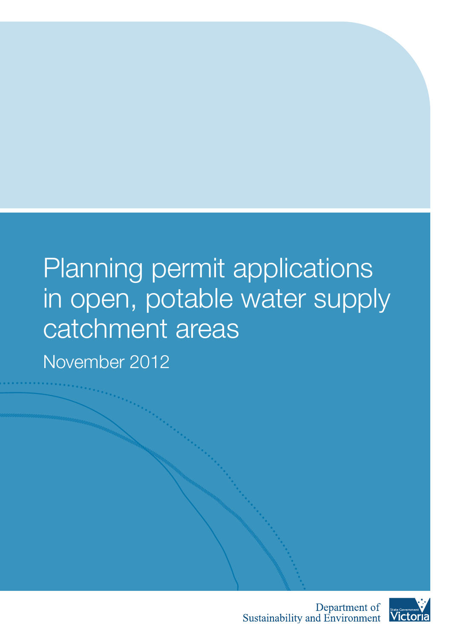# Planning permit applications in open, potable water supply catchment areas

November 2012



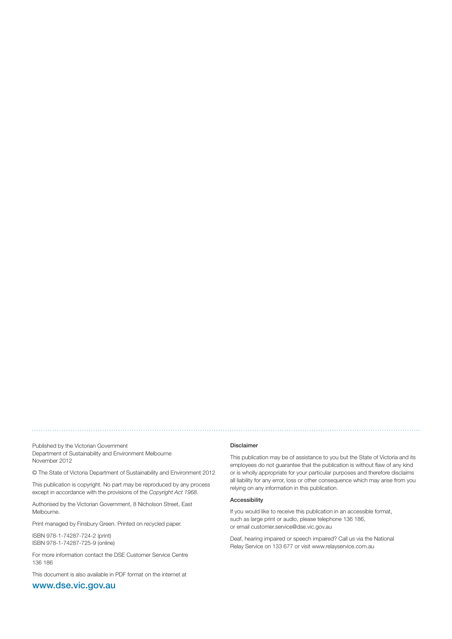Published by the Victorian Government Department of Sustainability and Environment Melbourne November 2012

© The State of Victoria Department of Sustainability and Environment 2012

This publication is copyright. No part may be reproduced by any process except in accordance with the provisions of the Copyright Act 1968.

Authorised by the Victorian Government, 8 Nicholson Street, East Melbourne.

Print managed by Finsbury Green. Printed on recycled paper.

ISBN 978-1-74287-724-2 (print) ISBN 978-1-74287-725-9 (online)

For more information contact the DSE Customer Service Centre 136 186

This document is also available in PDF format on the internet at

### www.dse.vic.gov.au

#### Disclaimer

This publication may be of assistance to you but the State of Victoria and its employees do not guarantee that the publication is without flaw of any kind or is wholly appropriate for your particular purposes and therefore disclaims all liability for any error, loss or other consequence which may arise from you relying on any information in this publication.

#### Accessibility

If you would like to receive this publication in an accessible format, such as large print or audio, please telephone 136 186, or email customer.service@dse.vic.gov.au

Deaf, hearing impaired or speech impaired? Call us via the National Relay Service on 133 677 or visit www.relayservice.com.au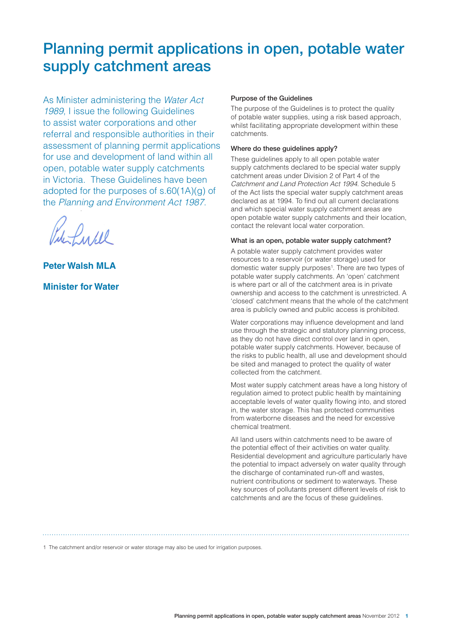### Planning permit applications in open, potable water supply catchment areas

As Minister administering the *Water Act 1989*, I issue the following Guidelines to assist water corporations and other referral and responsible authorities in their assessment of planning permit applications for use and development of land within all open, potable water supply catchments in Victoria. These Guidelines have been adopted for the purposes of s.60(1A)(g) of the *Planning and Environment Act 1987*.

Lucel

**Peter Walsh MLA Minister for Water** 

#### Purpose of the Guidelines

The purpose of the Guidelines is to protect the quality of potable water supplies, using a risk based approach, whilst facilitating appropriate development within these catchments.

#### Where do these guidelines apply?

These guidelines apply to all open potable water supply catchments declared to be special water supply catchment areas under Division 2 of Part 4 of the *Catchment and Land Protection Act 1994*. Schedule 5 of the Act lists the special water supply catchment areas declared as at 1994. To find out all current declarations and which special water supply catchment areas are open potable water supply catchments and their location, contact the relevant local water corporation.

#### What is an open, potable water supply catchment?

A potable water supply catchment provides water resources to a reservoir (or water storage) used for domestic water supply purposes<sup>1</sup>. There are two types of potable water supply catchments. An 'open' catchment is where part or all of the catchment area is in private ownership and access to the catchment is unrestricted. A 'closed' catchment means that the whole of the catchment area is publicly owned and public access is prohibited.

Water corporations may influence development and land use through the strategic and statutory planning process, as they do not have direct control over land in open, potable water supply catchments. However, because of the risks to public health, all use and development should be sited and managed to protect the quality of water collected from the catchment.

Most water supply catchment areas have a long history of regulation aimed to protect public health by maintaining acceptable levels of water quality flowing into, and stored in, the water storage. This has protected communities from waterborne diseases and the need for excessive chemical treatment.

All land users within catchments need to be aware of the potential effect of their activities on water quality. Residential development and agriculture particularly have the potential to impact adversely on water quality through the discharge of contaminated run-off and wastes, nutrient contributions or sediment to waterways. These key sources of pollutants present different levels of risk to catchments and are the focus of these guidelines.

1 The catchment and/or reservoir or water storage may also be used for irrigation purposes.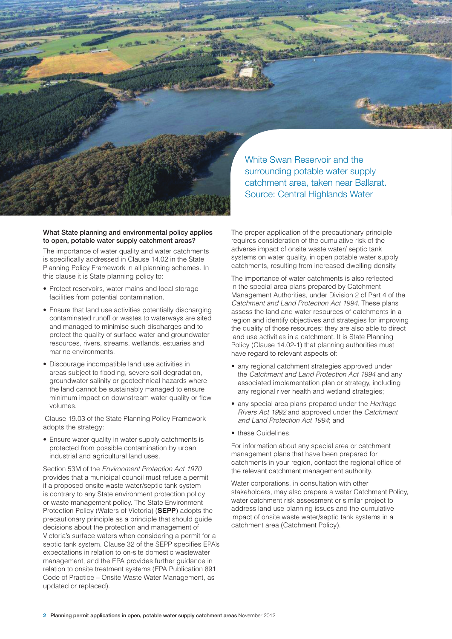

#### What State planning and environmental policy applies to open, potable water supply catchment areas?

The importance of water quality and water catchments is specifically addressed in Clause 14.02 in the State Planning Policy Framework in all planning schemes. In this clause it is State planning policy to:

- Protect reservoirs, water mains and local storage facilities from potential contamination.
- Ensure that land use activities potentially discharging contaminated runoff or wastes to waterways are sited and managed to minimise such discharges and to protect the quality of surface water and groundwater resources, rivers, streams, wetlands, estuaries and marine environments.
- Discourage incompatible land use activities in areas subject to flooding, severe soil degradation, groundwater salinity or geotechnical hazards where the land cannot be sustainably managed to ensure minimum impact on downstream water quality or flow volumes.

 Clause 19.03 of the State Planning Policy Framework adopts the strategy:

• Ensure water quality in water supply catchments is protected from possible contamination by urban, industrial and agricultural land uses.

Section 53M of the *Environment Protection Act 1970* provides that a municipal council must refuse a permit if a proposed onsite waste water/septic tank system is contrary to any State environment protection policy or waste management policy. The State Environment Protection Policy (Waters of Victoria) (**SEPP**) adopts the precautionary principle as a principle that should guide decisions about the protection and management of Victoria's surface waters when considering a permit for a septic tank system. Clause 32 of the SEPP specifies EPA's expectations in relation to on-site domestic wastewater management, and the EPA provides further guidance in relation to onsite treatment systems (EPA Publication 891, Code of Practice – Onsite Waste Water Management, as updated or replaced).

The proper application of the precautionary principle requires consideration of the cumulative risk of the adverse impact of onsite waste water/ septic tank systems on water quality, in open potable water supply catchments, resulting from increased dwelling density.

The importance of water catchments is also reflected in the special area plans prepared by Catchment Management Authorities, under Division 2 of Part 4 of the *Catchment and Land Protection Act 1994*. These plans assess the land and water resources of catchments in a region and identify objectives and strategies for improving the quality of those resources; they are also able to direct land use activities in a catchment. It is State Planning Policy (Clause 14.02-1) that planning authorities must have regard to relevant aspects of:

- any regional catchment strategies approved under the *Catchment and Land Protection Act 1994* and any associated implementation plan or strategy, including any regional river health and wetland strategies;
- any special area plans prepared under the *Heritage Rivers Act 1992* and approved under the *Catchment and Land Protection Act 1994*; and
- these Guidelines.

For information about any special area or catchment management plans that have been prepared for catchments in your region, contact the regional office of the relevant catchment management authority.

Water corporations, in consultation with other stakeholders, may also prepare a water Catchment Policy, water catchment risk assessment or similar project to address land use planning issues and the cumulative impact of onsite waste water/septic tank systems in a catchment area (Catchment Policy).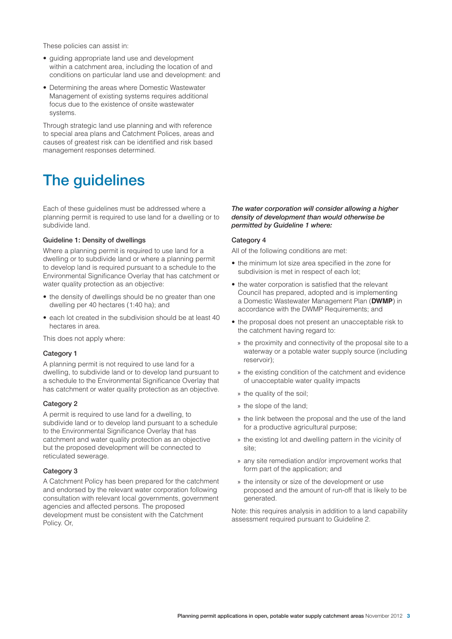These policies can assist in:

- • guiding appropriate land use and development within a catchment area, including the location of and conditions on particular land use and development: and
- Determining the areas where Domestic Wastewater Management of existing systems requires additional focus due to the existence of onsite wastewater systems.

Through strategic land use planning and with reference to special area plans and Catchment Polices, areas and causes of greatest risk can be identified and risk based management responses determined.

### The guidelines

Each of these guidelines must be addressed where a planning permit is required to use land for a dwelling or to subdivide land.

#### Guideline 1: Density of dwellings

Where a planning permit is required to use land for a dwelling or to subdivide land or where a planning permit to develop land is required pursuant to a schedule to the Environmental Significance Overlay that has catchment or water quality protection as an objective:

- the density of dwellings should be no greater than one dwelling per 40 hectares (1:40 ha); and
- each lot created in the subdivision should be at least 40 hectares in area.

This does not apply where:

#### Category 1

A planning permit is not required to use land for a dwelling, to subdivide land or to develop land pursuant to a schedule to the Environmental Significance Overlay that has catchment or water quality protection as an objective.

#### Category 2

A permit is required to use land for a dwelling, to subdivide land or to develop land pursuant to a schedule to the Environmental Significance Overlay that has catchment and water quality protection as an objective but the proposed development will be connected to reticulated sewerage.

#### Category 3

A Catchment Policy has been prepared for the catchment and endorsed by the relevant water corporation following consultation with relevant local governments, government agencies and affected persons. The proposed development must be consistent with the Catchment Policy. Or,

#### The water corporation will consider allowing a higher density of development than would otherwise be permitted by Guideline 1 where:

#### Category 4

All of the following conditions are met:

- the minimum lot size area specified in the zone for subdivision is met in respect of each lot;
- the water corporation is satisfied that the relevant Council has prepared, adopted and is implementing a Domestic Wastewater Management Plan (**DWMP**) in accordance with the DWMP Requirements; and
- the proposal does not present an unacceptable risk to the catchment having regard to:
	- » the proximity and connectivity of the proposal site to a waterway or a potable water supply source (including reservoir);
	- » the existing condition of the catchment and evidence of unacceptable water quality impacts
	- » the quality of the soil;
	- » the slope of the land;
	- » the link between the proposal and the use of the land for a productive agricultural purpose;
	- » the existing lot and dwelling pattern in the vicinity of site;
	- » any site remediation and/or improvement works that form part of the application; and
	- » the intensity or size of the development or use proposed and the amount of run-off that is likely to be generated.

Note: this requires analysis in addition to a land capability assessment required pursuant to Guideline 2.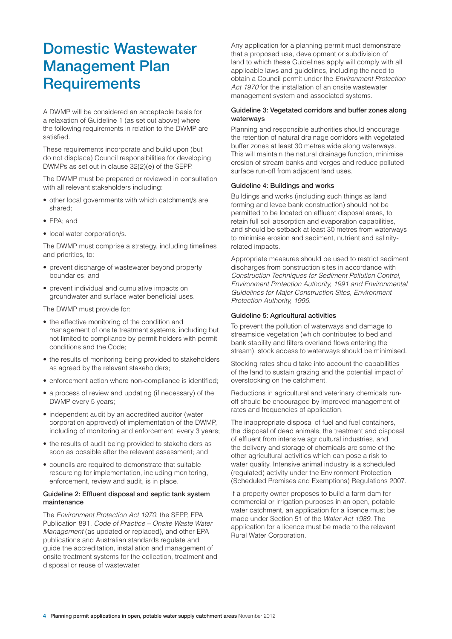### Domestic Wastewater Management Plan **Requirements**

A DWMP will be considered an acceptable basis for a relaxation of Guideline 1 (as set out above) where the following requirements in relation to the DWMP are satisfied.

These requirements incorporate and build upon (but do not displace) Council responsibilities for developing DWMPs as set out in clause 32(2)(e) of the SEPP.

The DWMP must be prepared or reviewed in consultation with all relevant stakeholders including:

- other local governments with which catchment/s are shared;
- EPA: and
- local water corporation/s.

The DWMP must comprise a strategy, including timelines and priorities, to:

- prevent discharge of wastewater beyond property boundaries; and
- • prevent individual and cumulative impacts on groundwater and surface water beneficial uses.

The DWMP must provide for:

- the effective monitoring of the condition and management of onsite treatment systems, including but not limited to compliance by permit holders with permit conditions and the Code;
- the results of monitoring being provided to stakeholders as agreed by the relevant stakeholders;
- enforcement action where non-compliance is identified;
- a process of review and updating (if necessary) of the DWMP every 5 years;
- independent audit by an accredited auditor (water corporation approved) of implementation of the DWMP, including of monitoring and enforcement, every 3 years;
- the results of audit being provided to stakeholders as soon as possible after the relevant assessment; and
- councils are required to demonstrate that suitable resourcing for implementation, including monitoring, enforcement, review and audit, is in place.

#### Guideline 2: Effluent disposal and septic tank system maintenance

The *Environment Protection Act 1970*, the SEPP, EPA Publication 891, *Code of Practice – Onsite Waste Water Management* (as updated or replaced), and other EPA publications and Australian standards regulate and guide the accreditation, installation and management of onsite treatment systems for the collection, treatment and disposal or reuse of wastewater.

Any application for a planning permit must demonstrate that a proposed use, development or subdivision of land to which these Guidelines apply will comply with all applicable laws and guidelines, including the need to obtain a Council permit under the *Environment Protection Act 1970* for the installation of an onsite wastewater management system and associated systems.

#### Guideline 3: Vegetated corridors and buffer zones along waterways

Planning and responsible authorities should encourage the retention of natural drainage corridors with vegetated buffer zones at least 30 metres wide along waterways. This will maintain the natural drainage function, minimise erosion of stream banks and verges and reduce polluted surface run-off from adjacent land uses.

#### Guideline 4: Buildings and works

Buildings and works (including such things as land forming and levee bank construction) should not be permitted to be located on effluent disposal areas, to retain full soil absorption and evaporation capabilities, and should be setback at least 30 metres from waterways to minimise erosion and sediment, nutrient and salinityrelated impacts.

Appropriate measures should be used to restrict sediment discharges from construction sites in accordance with *Construction Techniques for Sediment Pollution Control, Environment Protection Authority, 1991 and Environmental Guidelines for Major Construction Sites, Environment Protection Authority, 1995.* 

#### Guideline 5: Agricultural activities

To prevent the pollution of waterways and damage to streamside vegetation (which contributes to bed and bank stability and filters overland flows entering the stream), stock access to waterways should be minimised.

Stocking rates should take into account the capabilities of the land to sustain grazing and the potential impact of overstocking on the catchment.

Reductions in agricultural and veterinary chemicals runoff should be encouraged by improved management of rates and frequencies of application.

The inappropriate disposal of fuel and fuel containers, the disposal of dead animals, the treatment and disposal of effluent from intensive agricultural industries, and the delivery and storage of chemicals are some of the other agricultural activities which can pose a risk to water quality. Intensive animal industry is a scheduled (regulated) activity under the Environment Protection (Scheduled Premises and Exemptions) Regulations 2007.

If a property owner proposes to build a farm dam for commercial or irrigation purposes in an open, potable water catchment, an application for a licence must be made under Section 51 of the *Water Act 1989*. The application for a licence must be made to the relevant Rural Water Corporation.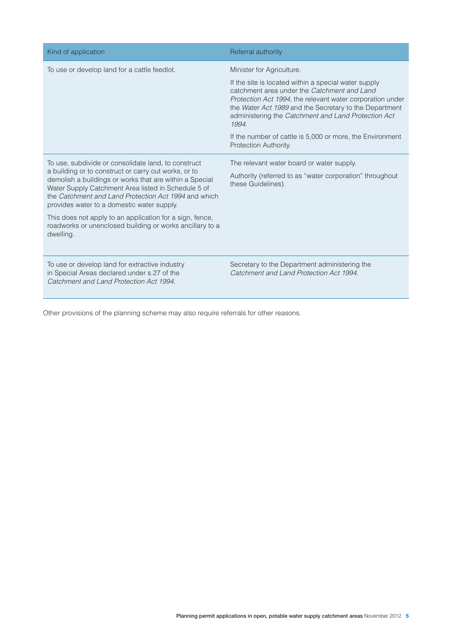| Kind of application                                                                                                                                                                                                                                                                                                                                                                                                                                                      | Referral authority                                                                                                                                                                                                                                                                                                                                                                                            |
|--------------------------------------------------------------------------------------------------------------------------------------------------------------------------------------------------------------------------------------------------------------------------------------------------------------------------------------------------------------------------------------------------------------------------------------------------------------------------|---------------------------------------------------------------------------------------------------------------------------------------------------------------------------------------------------------------------------------------------------------------------------------------------------------------------------------------------------------------------------------------------------------------|
| To use or develop land for a cattle feedlot.                                                                                                                                                                                                                                                                                                                                                                                                                             | Minister for Agriculture.<br>If the site is located within a special water supply<br>catchment area under the Catchment and Land<br>Protection Act 1994, the relevant water corporation under<br>the Water Act 1989 and the Secretary to the Department<br>administering the Catchment and Land Protection Act<br>1994.<br>If the number of cattle is 5,000 or more, the Environment<br>Protection Authority. |
| To use, subdivide or consolidate land, to construct<br>a building or to construct or carry out works, or to<br>demolish a buildings or works that are within a Special<br>Water Supply Catchment Area listed in Schedule 5 of<br>the Catchment and Land Protection Act 1994 and which<br>provides water to a domestic water supply.<br>This does not apply to an application for a sign, fence,<br>roadworks or unenclosed building or works ancillary to a<br>dwelling. | The relevant water board or water supply.<br>Authority (referred to as "water corporation" throughout<br>these Guidelines).                                                                                                                                                                                                                                                                                   |
| To use or develop land for extractive industry<br>in Special Areas declared under s.27 of the<br>Catchment and Land Protection Act 1994.                                                                                                                                                                                                                                                                                                                                 | Secretary to the Department administering the<br>Catchment and Land Protection Act 1994                                                                                                                                                                                                                                                                                                                       |

Other provisions of the planning scheme may also require referrals for other reasons.